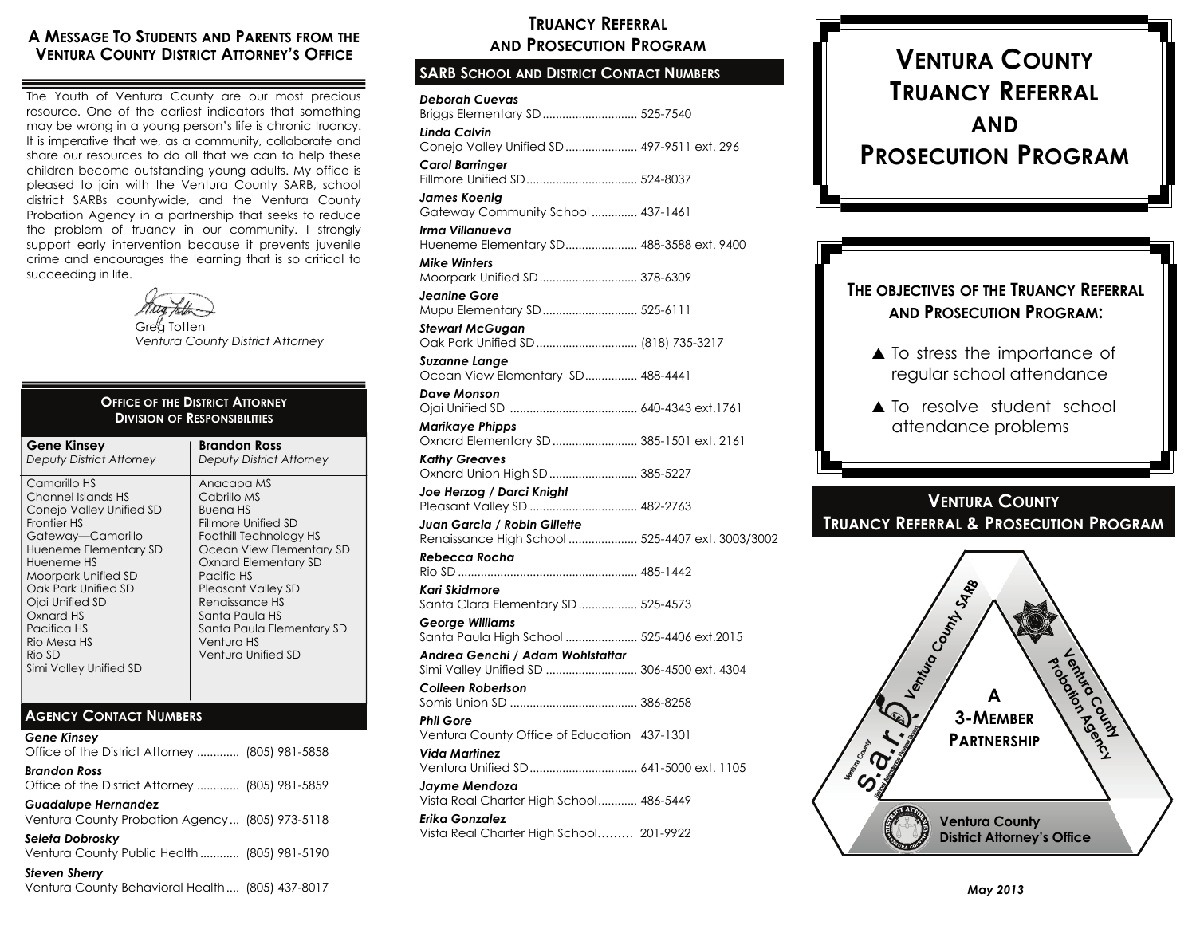### **A MESSAGE T O STUDENTS AND PARENTS FROM THE VENTURA COUNTY DISTRICT ATTORNEY'S OFFICE**

The Youth of Ventura County are our most precious resource. One of the earliest indicators that something may be wrong in a young person's life is chronic truancy. It is imperative that we, as a community, collaborate and share our resources to do all that we can to help these children become outstanding young adults. My office is pleased to join with the Ventura County SARB, school district SARBs countywide, and the Ventura County Probation Agency in a partnership that seeks to reduce the problem of truancy in our community. I strongly support early intervention because it prevents juvenile crime and encourages the learning that is so critical to succeeding in life.



Grea Totten *Ventura County District Attorney*

#### **Gene Kinsey**  *Deputy District Attorney*  Camarillo HS Channel Islands HS Conejo Valley Unified SD Frontier HS Gateway—Camarillo Hueneme Elementary SD Hueneme HS Moorpark Unified SD Oak Park Unified SD Ojai Unified SD Oxnard HS Pacifica HS Rio Mesa HS Rio SD Simi Valley Unified SD **Brandon Ross***Deputy District Attorney*  Anacapa MS Cabrillo MS Buena HS Fillmore Unified SD Foothill Technology HS Ocean View Elementary SD Oxnard Elementary SD Pacific HS Pleasant Valley SD Renaissance HS Santa Paula HS Santa Paula Elementary SD Ventura HS Ventura Unified SD **OFFICE OF THE DISTRICT ATTORNEYDIVISION OF RESPONSIBILITIES**

### **AGENCY CONTACT NUMBERS**

*Gene Kinsey*  Office of the District Attorney ............. (805) 981-5858 *Brandon Ross*  Office of the District Attorney ............. (805) 981-5859 *Guadalupe Hernandez* 

Ventura County Probation Agency ... (805) 973-5118

*Seleta Dobrosky*  Ventura County Public Health ............ (805) 981-5190

*Steven Sherry*  Ventura County Behavioral Health .... (805) 437-8017

### **TRUANCY REFERRALAND PROSECUTION PROGRAM**

### **SARB SCHOOL AND DISTRICT CONTACT NUMBERS**

| Deborah Cuevas<br>Briggs Elementary SD  525-7540                                 |  |
|----------------------------------------------------------------------------------|--|
| Linda Calvin<br>Conejo Valley Unified SD  497-9511 ext. 296                      |  |
| Carol Barrinaer                                                                  |  |
| James Koenig<br>Gateway Community School  437-1461                               |  |
| Irma Villanueva<br>Hueneme Elementary SD 488-3588 ext. 9400                      |  |
| Mike Winters<br>Moorpark Unified SD 378-6309                                     |  |
| Jeanine Gore<br>Mupu Elementary SD 525-6111                                      |  |
| Stewart McGugan<br>Oak Park Unified SD  (818) 735-3217                           |  |
| Suzanne Lange<br>Ocean View Elementary SD 488-4441                               |  |
| Dave Monson                                                                      |  |
| Marikaye Phipps<br>Oxnard Elementary SD  385-1501 ext. 2161                      |  |
| Kathy Greaves<br>Oxnard Union High SD  385-5227                                  |  |
| Joe Herzog / Darci Knight<br>Pleasant Valley SD  482-2763                        |  |
| Juan Garcia / Robin Gillette<br>Renaissance High School  525-4407 ext. 3003/3002 |  |
| Rebecca Rocha                                                                    |  |
| Kari Skidmore                                                                    |  |
| Santa Clara Elementary SD  525-4573<br>Georae Williams                           |  |
| Santa Paula High School  525-4406 ext.2015<br>Andrea Genchi / Adam Wohlstattar   |  |
| Simi Valley Unified SD  306-4500 ext. 4304<br>Colleen Robertson                  |  |
| Phil Gore                                                                        |  |
| Ventura County Office of Education 437-1301<br>Vida Martinez                     |  |
| Ventura Unified SD 641-5000 ext. 1105                                            |  |
| Jayme Mendoza<br>Vista Real Charter High School 486-5449                         |  |
| Erika Gonzalez<br>Vista Real Charter High School 201-9922                        |  |
|                                                                                  |  |

# **VENTURA COUNTYTRUANCY REFERRALANDPROSECUTION PROGRAM**

### **THE OBJECTIVES OF THE TRUANCY REFERRAL AND PROSECUTION PROGRAM:**

- ▲ To stress the importance of regular school attendance
- ▲ To resolve student school attendance problems

### **VENTURA COUNTYTRUANCY REFERRAL & PROSECUTION PROGRAM**